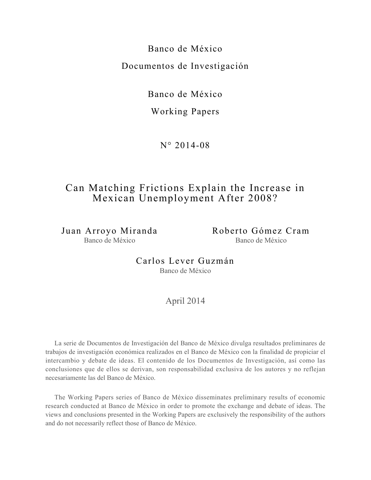Banco de México Documentos de Investigación

Banco de México

Working Papers

 $N^{\circ} 2014 - 08$ 

## Can Matching Frictions Explain the Increase in Mexican Unemployment After 2008?

Juan Arroyo Miranda Banco de México

Roberto Gómez Cram Banco de México

Carlos Lever Guzmán Banco de México

## April 2014

La serie de Documentos de Investigación del Banco de México divulga resultados preliminares de trabajos de investigación económica realizados en el Banco de México con la finalidad de propiciar el intercambio y debate de ideas. El contenido de los Documentos de Investigación, así como las conclusiones que de ellos se derivan, son responsabilidad exclusiva de los autores y no reflejan necesariamente las del Banco de México.

The Working Papers series of Banco de México disseminates preliminary results of economic research conducted at Banco de México in order to promote the exchange and debate of ideas. The views and conclusions presented in the Working Papers are exclusively the responsibility of the authors and do not necessarily reflect those of Banco de México.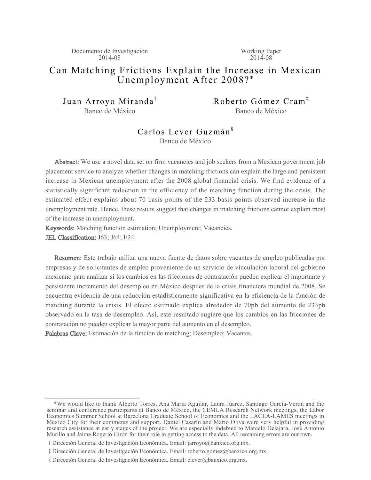Documento de Investigación 2014-08

Working Paper 2014-08

## Can Matching Frictions Explain the Increase in Mexican Unemployment After 2008? \*

Juan Arroyo Miranda<sup>†</sup> Banco de México

Roberto Gómez Cram<sup>‡</sup> Banco de México

#### Carlos Lever Guzmán<sup>§</sup> Banco de México

Abstract: We use a novel data set on firm vacancies and job seekers from a Mexican government job placement service to analyze whether changes in matching frictions can explain the large and persistent increase in Mexican unemployment after the 2008 global financial crisis. We find evidence of a statistically significant reduction in the efficiency of the matching function during the crisis. The estimated effect explains about 70 basis points of the 233 basis points observed increase in the unemployment rate. Hence, these results suggest that changes in matching frictions cannot explain most of the increase in unemployment.

Keywords: Matching function estimation; Unemployment; Vacancies.

JEL Classification: J63; J64; E24.

Resumen: Este trabajo utiliza una nueva fuente de datos sobre vacantes de empleo publicadas por empresas y de solicitantes de empleo proveniente de un servicio de vinculación laboral del gobierno mexicano para analizar si los cambios en las fricciones de contratación pueden explicar el importante y persistente incremento del desempleo en México despúes de la crisis financiera mundial de 2008. Se encuentra evidencia de una reducción estadísticamente significativa en la eficiencia de la función de matching durante la crisis. El efecto estimado explica alrededor de 70pb del aumento de 233pb observado en la tasa de desempleo. Así, este resultado sugiere que los cambios en las fricciones de contratación no pueden explicar la mayor parte del aumento en el desempleo.

Palabras Clave: Estimación de la función de matching; Desempleo; Vacantes.

 <sup>\*</sup>We would like to thank Alberto Torres, Ana María Aguilar, Laura Júarez, Santiago García-Verdú and the seminar and conference participants at Banco de México, the CEMLA Research Network meetings, the Labor Economics Summer School at Barcelona Graduate School of Economics and the LACEA-LAMES meetings in Mexico City for their comments and support. Daniel Casarín and Mario Oliva were very helpful in providing research assistance at early stages of the project. We are especially indebted to Marcelo Delajara, José Antonio Murillo and Jaime Rogerio Girón for their role in getting access to the data. All remaining errors are our own.

y Dirección General de Investigación Económica. Email: jarroyo@banxico.org.mx.

z Dirección General de Investigación Económica. Email: roberto.gomez@banxico.org.mx.

<sup>§</sup> Dirección General de Investigación Económica. Email: clever@banxico.org.mx.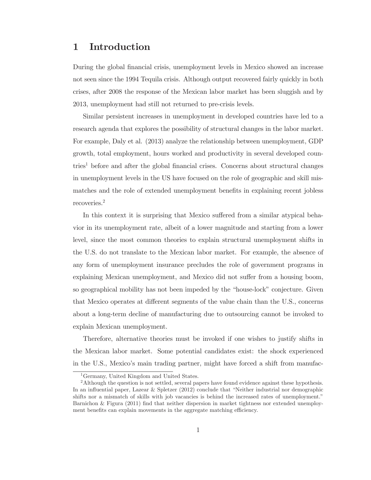## 1 Introduction

During the global financial crisis, unemployment levels in Mexico showed an increase not seen since the 1994 Tequila crisis. Although output recovered fairly quickly in both crises, after 2008 the response of the Mexican labor market has been sluggish and by 2013, unemployment had still not returned to pre-crisis levels.

Similar persistent increases in unemployment in developed countries have led to a research agenda that explores the possibility of structural changes in the labor market. For example, Daly et al. (2013) analyze the relationship between unemployment, GDP growth, total employment, hours worked and productivity in several developed coun- $\mu$ <sub>1</sub> before and after the global financial crises. Concerns about structural changes in unemployment levels in the US have focused on the role of geographic and skill mismatches and the role of extended unemployment benefits in explaining recent jobless  $recoveries.<sup>2</sup>$ 

In this context it is surprising that Mexico suffered from a similar atypical behavior in its unemployment rate, albeit of a lower magnitude and starting from a lower level, since the most common theories to explain structural unemployment shifts in the U.S. do not translate to the Mexican labor market. For example, the absence of any form of unemployment insurance precludes the role of government programs in explaining Mexican unemployment, and Mexico did not suffer from a housing boom, so geographical mobility has not been impeded by the "house-lock" conjecture. Given that Mexico operates at different segments of the value chain than the U.S., concerns about a long-term decline of manufacturing due to outsourcing cannot be invoked to explain Mexican unemployment.

Therefore, alternative theories must be invoked if one wishes to justify shifts in the Mexican labor market. Some potential candidates exist: the shock experienced in the U.S., Mexico's main trading partner, might have forced a shift from manufac-

<sup>&</sup>lt;sup>1</sup>Germany, United Kingdom and United States.

 ${}^{2}$ Although the question is not settled, several papers have found evidence against these hypothesis. In an influential paper, Lazear & Spletzer (2012) conclude that "Neither industrial nor demographic shifts nor a mismatch of skills with job vacancies is behind the increased rates of unemployment." Barnichon & Figura (2011) find that neither dispersion in market tightness nor extended unemployment benefits can explain movements in the aggregate matching efficiency.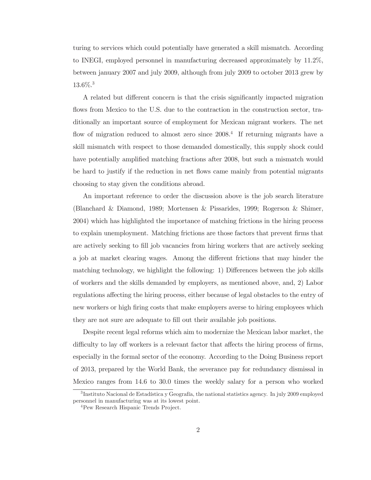turing to services which could potentially have generated a skill mismatch. According to INEGI, employed personnel in manufacturing decreased approximately by  $11.2\%$ , between january 2007 and july 2009, although from july 2009 to october  $2013$  grew by  $13.6\%$ <sup>3</sup>

A related but different concern is that the crisis significantly impacted migration flows from Mexico to the U.S. due to the contraction in the construction sector, traditionally an important source of employment for Mexican migrant workers. The net flow of migration reduced to almost zero since  $2008<sup>4</sup>$  If returning migrants have a skill mismatch with respect to those demanded domestically, this supply shock could have potentially amplified matching fractions after 2008, but such a mismatch would be hard to justify if the reduction in net flows came mainly from potential migrants choosing to stay given the conditions abroad.

An important reference to order the discussion above is the job search literature (Blanchard & Diamond, 1989; Mortensen & Pissarides, 1999; Rogerson & Shimer, 2004) which has highlighted the importance of matching frictions in the hiring process to explain unemployment. Matching frictions are those factors that prevent firms that are actively seeking to fill job vacancies from hiring workers that are actively seeking a job at market clearing wages. Among the different frictions that may hinder the matching technology, we highlight the following: 1) Differences between the job skills of workers and the skills demanded by employers, as mentioned above, and, 2) Labor regulations affecting the hiring process, either because of legal obstacles to the entry of new workers or high firing costs that make employers averse to hiring employees which they are not sure are adequate to fill out their available job positions.

Despite recent legal reforms which aim to modernize the Mexican labor market, the difficulty to lay off workers is a relevant factor that affects the hiring process of firms,  $\mathcal{L}_{\text{res}}\text{[Fig:7]}$  is the formal sector of the economy. According to the Doing Business report of 2013, prepared by the World Bank, the severance pay for redundancy dismissal in Mexico ranges from 14.6 to 30.0 times the weekly salary for a person who worked

 ${}^{3}$ Instituto Nacional de Estadística y Geografía, the national statistics agency. In july 2009 employed personnel in manufacturing was at its lowest point.

<sup>&</sup>lt;sup>4</sup>Pew Research Hispanic Trends Project.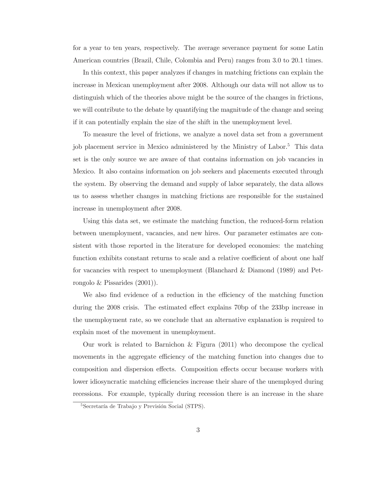for a year to ten years, respectively. The average severance payment for some Latin American countries (Brazil, Chile, Colombia and Peru) ranges from 3.0 to 20.1 times.

In this context, this paper analyzes if changes in matching frictions can explain the increase in Mexican unemployment after 2008. Although our data will not allow us to distinguish which of the theories above might be the source of the changes in frictions, we will contribute to the debate by quantifying the magnitude of the change and seeing if it can potentially explain the size of the shift in the unemployment level.

To measure the level of frictions, we analyze a novel data set from a government job placement service in Mexico administered by the Ministry of Labor.<sup>5</sup> This data set is the only source we are aware of that contains information on job vacancies in Mexico. It also contains information on job seekers and placements executed through the system. By observing the demand and supply of labor separately, the data allows us to assess whether changes in matching frictions are responsible for the sustained increase in unemployment after 2008.

Using this data set, we estimate the matching function, the reduced-form relation between unemployment, vacancies, and new hires. Our parameter estimates are consistent with those reported in the literature for developed economies: the matching function exhibits constant returns to scale and a relative coefficient of about one half for vacancies with respect to unemployment (Blanchard & Diamond  $(1989)$  and Petrongolo & Pissarides  $(2001)$ ).

We also find evidence of a reduction in the efficiency of the matching function during the 2008 crisis. The estimated effect explains 70bp of the 233bp increase in the unemployment rate, so we conclude that an alternative explanation is required to explain most of the movement in unemployment.

Our work is related to Barnichon & Figura  $(2011)$  who decompose the cyclical movements in the aggregate efficiency of the matching function into changes due to composition and dispersion effects. Composition effects occur because workers with lower idiosyncratic matching efficiencies increase their share of the unemployed during recessions. For example, typically during recession there is an increase in the share

 ${}^{5}$ Secretaría de Trabajo y Previsión Social (STPS).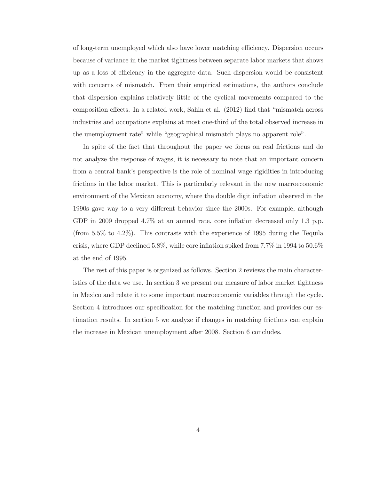of long-term unemployed which also have lower matching efficiency. Dispersion occurs because of variance in the market tightness between separate labor markets that shows up as a loss of efficiency in the aggregate data. Such dispersion would be consistent with concerns of mismatch. From their empirical estimations, the authors conclude that dispersion explains relatively little of the cyclical movements compared to the composition effects. In a related work, Sahin et al. (2012) find that "mismatch across industries and occupations explains at most one-third of the total observed increase in the unemployment rate" while "geographical mismatch plays no apparent role".

In spite of the fact that throughout the paper we focus on real frictions and do not analyze the response of wages, it is necessary to note that an important concern from a central bank's perspective is the role of nominal wage rigidities in introducing frictions in the labor market. This is particularly relevant in the new macroeconomic environment of the Mexican economy, where the double digit inflation observed in the 1990s gave way to a very different behavior since the 2000s. For example, although GDP in 2009 dropped 4.7% at an annual rate, core inflation decreased only 1.3 p.p. (from 5.5% to 4.2%). This contrasts with the experience of 1995 during the Tequila crisis, where GDP declined 5.8%, while core inflation spiked from  $7.7\%$  in 1994 to 50.6% at the end of 1995.

The rest of this paper is organized as follows. Section 2 reviews the main characteristics of the data we use. In section 3 we present our measure of labor market tightness in Mexico and relate it to some important macroeconomic variables through the cycle. Section 4 introduces our specification for the matching function and provides our estimation results. In section 5 we analyze if changes in matching frictions can explain the increase in Mexican unemployment after 2008. Section 6 concludes.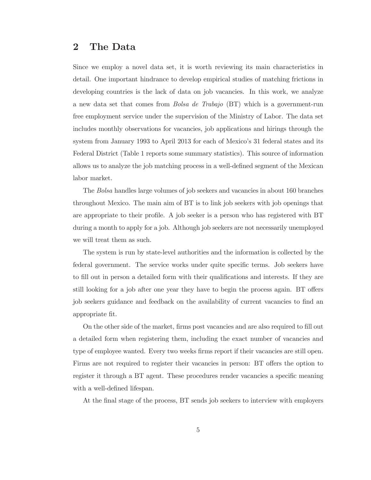## 2 The Data

Since we employ a novel data set, it is worth reviewing its main characteristics in detail. One important hindrance to develop empirical studies of matching frictions in developing countries is the lack of data on job vacancies. In this work, we analyze a new data set that comes from *Bolsa de Trabajo* (BT) which is a government-run free employment service under the supervision of the Ministry of Labor. The data set includes monthly observations for vacancies, job applications and hirings through the system from January 1993 to April 2013 for each of Mexico's  $31$  federal states and its Federal District (Table 1 reports some summary statistics). This source of information allows us to analyze the job matching process in a well-defined segment of the Mexican labor market.

The *Bolsa* handles large volumes of job seekers and vacancies in about 160 branches throughout Mexico. The main aim of BT is to link job seekers with job openings that are appropriate to their profile. A job seeker is a person who has registered with BT during a month to apply for a job. Although job seekers are not necessarily unemployed we will treat them as such.

The system is run by state-level authorities and the information is collected by the federal government. The service works under quite specific terms. Job seekers have to fill out in person a detailed form with their qualifications and interests. If they are still looking for a job after one year they have to begin the process again. BT offers job seekers guidance and feedback on the availability of current vacancies to find an appropriate fit.

On the other side of the market, firms post vacancies and are also required to fill out a detailed form when registering them, including the exact number of vacancies and type of employee wanted. Every two weeks firms report if their vacancies are still open. Firms are not required to register their vacancies in person: BT offers the option to register it through a BT agent. These procedures render vacancies a specific meaning with a well-defined lifespan.

At the final stage of the process, BT sends job seekers to interview with employers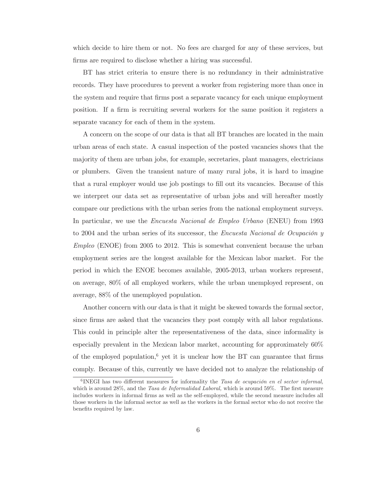which decide to hire them or not. No fees are charged for any of these services, but firms are required to disclose whether a hiring was successful.

ET has strict criteria to ensure there is no redundancy in their administrative records. They have procedures to prevent a worker from registering more than once in the system and require that firms post a separate vacancy for each unique employment position. If a firm is recruiting several workers for the same position it registers a separate vacancy for each of them in the system.

A concern on the scope of our data is that all BT branches are located in the main urban areas of each state. A casual inspection of the posted vacancies shows that the majority of them are urban jobs, for example, secretaries, plant managers, electricians or plumbers. Given the transient nature of many rural jobs, it is hard to imagine that a rural employer would use job postings to fill out its vacancies. Because of this we interpret our data set as representative of urban jobs and will hereafter mostly compare our predictions with the urban series from the national employment surveys. In particular, we use the *Encuesta Nacional de Empleo Urbano* (ENEU) from 1993 to 2004 and the urban series of its successor, the *Encuesta Nacional de Ocupación*  $y$  $Employee$  (ENOE) from 2005 to 2012. This is somewhat convenient because the urban employment series are the longest available for the Mexican labor market. For the period in which the ENOE becomes available, 2005-2013, urban workers represent, on average, 80% of all employed workers, while the urban unemployed represent, on average,  $88\%$  of the unemployed population.

Another concern with our data is that it might be skewed towards the formal sector, since firms are asked that the vacancies they post comply with all labor regulations. This could in principle alter the representativeness of the data, since informality is  $\alpha$  especially prevalent in the Mexican labor market, accounting for approximately 60% of the employed population,<sup>6</sup> yet it is unclear how the BT can guarantee that firms comply. Because of this, currently we have decided not to analyze the relationship of

 ${}^{6}$ INEGI has two different measures for informality the Tasa de ocupación en el sector informal, which is around  $28\%$ , and the *Tasa de Informalidad Laboral*, which is around  $59\%$ . The first measure includes workers in informal firms as well as the self-employed, while the second measure includes all those workers in the informal sector as well as the workers in the formal sector who do not receive the benefits required by law.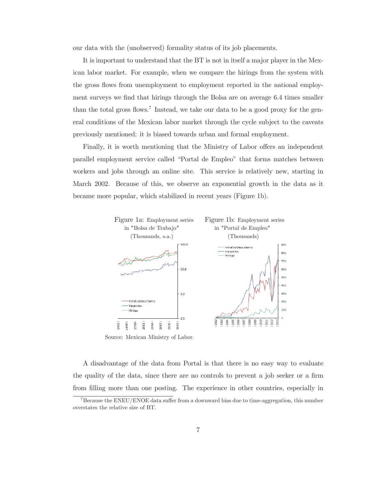our data with the (unobserved) formality status of its job placements.

It is important to understand that the BT is not in itself a major player in the Mexican labor market. For example, when we compare the hirings from the system with the gross flows from unemployment to employment reported in the national employment surveys we find that hirings through the Bolsa are on average 6.4 times smaller than the total gross flows.<sup>7</sup> Instead, we take our data to be a good proxy for the gen- $2 \text{ real conditions of the Mexican labor market through the cycle subject to the caveats}$ previously mentioned: it is biased towards urban and formal employment.

Finally, it is worth mentioning that the Ministry of Labor offers an independent parallel employment service called "Portal de Empleo" that forms matches between workers and jobs through an online site. This service is relatively new, starting in March 2002. Because of this, we observe an exponential growth in the data as it became more popular, which stabilized in recent years (Figure 1b).



Source: Mexican Ministry of Labor.

A disadvantage of the data from Portal is that there is no easy way to evaluate the quality of the data, since there are no controls to prevent a job seeker or a firm from filling more than one posting. The experience in other countries, especially in

<sup>&</sup>lt;sup>7</sup> Because the ENEU/ENOE data suffer from a downward bias due to time-aggregation, this number overstates the relative size of BT.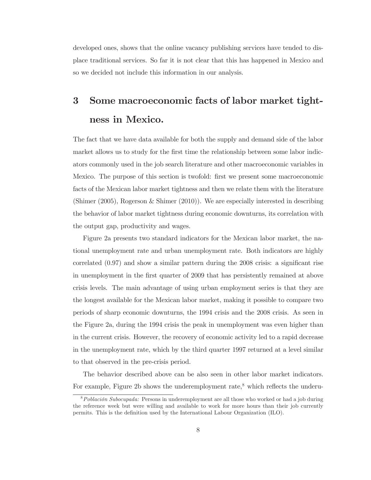developed ones, shows that the online vacancy publishing services have tended to displace traditional services. So far it is not clear that this has happened in Mexico and so we decided not include this information in our analysis.

# 3 Some macroeconomic facts of labor market tightness in Mexico.

The fact that we have data available for both the supply and demand side of the labor market allows us to study for the first time the relationship between some labor indicators commonly used in the job search literature and other macroeconomic variables in Mexico. The purpose of this section is twofold: first we present some macroeconomic facts of the Mexican labor market tightness and then we relate them with the literature (Shimer  $(2005)$ , Rogerson & Shimer  $(2010)$ ). We are especially interested in describing the behavior of labor market tightness during economic downturns, its correlation with the output gap, productivity and wages.

Figure 2a presents two standard indicators for the Mexican labor market, the national unemployment rate and urban unemployment rate. Both indicators are highly correlated  $(0.97)$  and show a similar pattern during the 2008 crisis: a significant rise in unemployment in the first quarter of 2009 that has persistently remained at above crisis levels. The main advantage of using urban employment series is that they are the longest available for the Mexican labor market, making it possible to compare two periods of sharp economic downturns, the 1994 crisis and the 2008 crisis. As seen in the Figure 2a, during the 1994 crisis the peak in unemployment was even higher than in the current crisis. However, the recovery of economic activity led to a rapid decrease in the unemployment rate, which by the third quarter 1997 returned at a level similar to that observed in the pre-crisis period.

The behavior described above can be also seen in other labor market indicators. For example, Figure 2b shows the underemployment rate,<sup>8</sup> which reflects the underu-

 $8$ Población Subocupada: Persons in underemployment are all those who worked or had a job during the reference week but were willing and available to work for more hours than their job currently permits. This is the definition used by the International Labour Organization (ILO).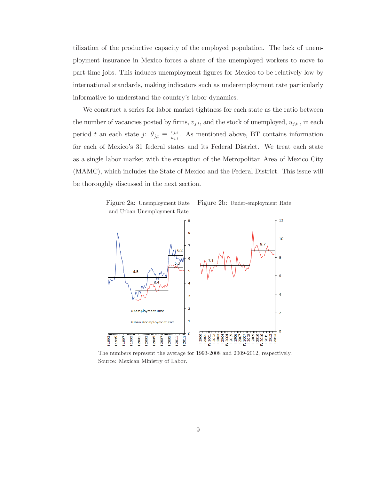tilization of the productive capacity of the employed population. The lack of unemployment insurance in Mexico forces a share of the unemployed workers to move to part-time jobs. This induces unemployment figures for Mexico to be relatively low by international standards, making indicators such as underemployment rate particularly informative to understand the country's labor dynamics.

We construct a series for labor market tightness for each state as the ratio between the number of vacancies posted by firms,  $v_{j,t}$ , and the stock of unemployed,  $u_{j,t}$ , in each period t an each state j:  $\theta_{j,t} \equiv \frac{v_{j,t}}{u_{j,t}}$ . As mentioned above, BT contains information for each of Mexico's 31 federal states and its Federal District. We treat each state as a single labor market with the exception of the Metropolitan Area of Mexico City (MAMC), which includes the State of Mexico and the Federal District. This issue will be thoroughly discussed in the next section.



The numbers represent the average for 1993-2008 and 2009-2012, respectively. Source: Mexican Ministry of Labor.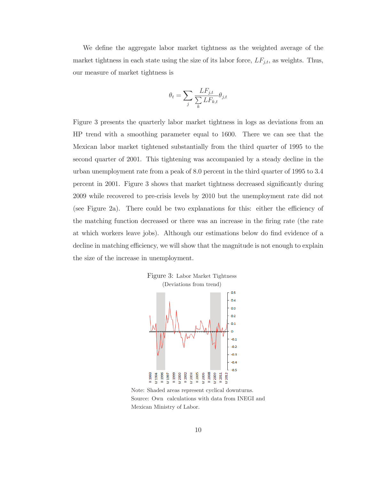We define the aggregate labor market tightness as the weighted average of the market tightness in each state using the size of its labor force,  $LF_{j,t}$ , as weights. Thus, our measure of market tightness is

$$
\theta_t = \sum_j \frac{L F_{j,t}}{\sum_k L F_{k,t}} \theta_{j,t}
$$

Figure 3 presents the quarterly labor market tightness in logs as deviations from an HP trend with a smoothing parameter equal to 1600. There we can see that the Mexican labor market tightened substantially from the third quarter of 1995 to the second quarter of 2001. This tightening was accompanied by a steady decline in the urban unemployment rate from a peak of 8.0 percent in the third quarter of 1995 to 3.4 percent in 2001. Figure 3 shows that market tightness decreased significantly during 2009 while recovered to pre-crisis levels by 2010 but the unemployment rate did not (see Figure 2a). There could be two explanations for this: either the efficiency of the matching function decreased or there was an increase in the firing rate (the rate at which workers leave jobs). Although our estimations below do find evidence of a decline in matching efficiency, we will show that the magnitude is not enough to explain the size of the increase in unemployment.



Note: Shaded areas represent cyclical downturns. Source: Own calculations with data from INEGI and Mexican Ministry of Labor.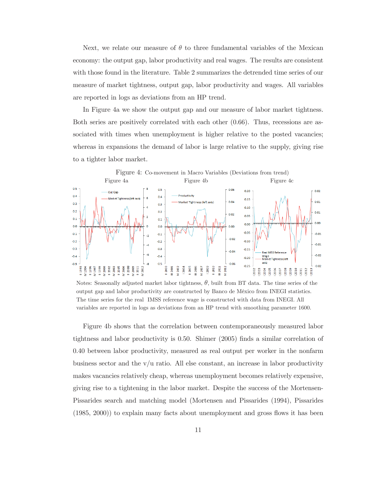Next, we relate our measure of  $\theta$  to three fundamental variables of the Mexican economy: the output gap, labor productivity and real wages. The results are consistent with those found in the literature. Table 2 summarizes the detrended time series of our measure of market tightness, output gap, labor productivity and wages. All variables are reported in logs as deviations from an HP trend.

In Figure 4a we show the output gap and our measure of labor market tightness. Both series are positively correlated with each other  $(0.66)$ . Thus, recessions are associated with times when unemployment is higher relative to the posted vacancies; whereas in expansions the demand of labor is large relative to the supply, giving rise to a tighter labor market.



Notes: Seasonally adjusted market labor tightness,  $\theta$ , built from BT data. The time series of the output gap and labor productivity are constructed by Banco de México from INEGI statistics. The time series for the real IMSS reference wage is constructed with data from INEGI. All variables are reported in logs as deviations from an HP trend with smoothing parameter 1600.

Figure 4b shows that the correlation between contemporaneously measured labor tightness and labor productivity is 0.50. Shimer  $(2005)$  finds a similar correlation of 0.40 between labor productivity, measured as real output per worker in the nonfarm business sector and the  $v/u$  ratio. All else constant, an increase in labor productivity makes vacancies relatively cheap, whereas unemployment becomes relatively expensive, giving rise to a tightening in the labor market. Despite the success of the Mortensen-Pissarides search and matching model (Mortensen and Pissarides (1994), Pissarides  $(1985, 2000)$  to explain many facts about unemployment and gross flows it has been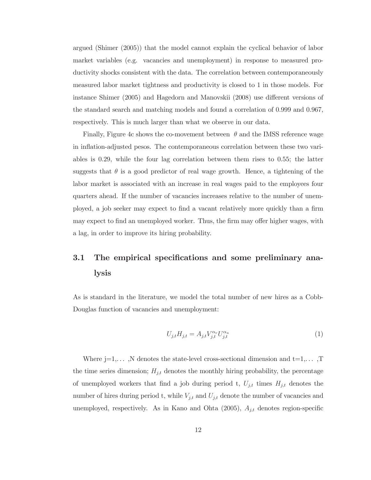argued (Shimer  $(2005)$ ) that the model cannot explain the cyclical behavior of labor market variables (e.g. vacancies and unemployment) in response to measured productivity shocks consistent with the data. The correlation between contemporaneously measured labor market tightness and productivity is closed to 1 in those models. For instance Shimer  $(2005)$  and Hagedorn and Manovskii  $(2008)$  use different versions of the standard search and matching models and found a correlation of  $0.999$  and  $0.967$ , respectively. This is much larger than what we observe in our data.

Finally, Figure 4c shows the co-movement between  $\theta$  and the IMSS reference wage in inflation-adjusted pesos. The contemporaneous correlation between these two variables is 0.29, while the four lag correlation between them rises to 0.55; the latter suggests that  $\theta$  is a good predictor of real wage growth. Hence, a tightening of the labor market is associated with an increase in real wages paid to the employees four quarters ahead. If the number of vacancies increases relative to the number of unemployed, a job seeker may expect to find a vacant relatively more quickly than a firm may expect to find an unemployed worker. Thus, the firm may offer higher wages, with a lag, in order to improve its hiring probability.

## 3.1 The empirical specifications and some preliminary analysis

As is standard in the literature, we model the total number of new hires as a Cobb-Douglas function of vacancies and unemployment:

$$
U_{j,t}H_{j,t} = A_{j,t}V_{j,t}^{\alpha_v}U_{j,t}^{\alpha_u}
$$
\n<sup>(1)</sup>

Where  $j=1,\ldots,N$  denotes the state-level cross-sectional dimension and  $t=1,\ldots,T$ the time series dimension;  $H_{j,t}$  denotes the monthly hiring probability, the percentage of unemployed workers that find a job during period t,  $U_{j,t}$  times  $H_{j,t}$  denotes the number of hires during period t, while  $V_{j,t}$  and  $U_{j,t}$  denote the number of vacancies and unemployed, respectively. As in Kano and Ohta (2005),  $A_{j,t}$  denotes region-specific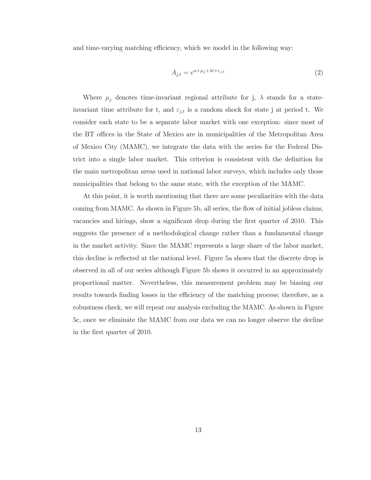and time-varying matching efficiency, which we model in the following way:

$$
A_{j,t} = e^{\alpha + \mu_j + \lambda t + \varepsilon_{j,t}} \tag{2}
$$

Where  $\mu_j$  denotes time-invariant regional attribute for j,  $\lambda$  stands for a stateinvariant time attribute for t, and  $\varepsilon_{j,t}$  is a random shock for state j at period t. We consider each state to be a separate labor market with one exception: since most of the BT offices in the State of Mexico are in municipalities of the Metropolitan Area of Mexico City (MAMC), we integrate the data with the series for the Federal Disfunctional single labor market. This criterion is consistent with the definition for the main metropolitan areas used in national labor surveys, which includes only those municipalities that belong to the same state, with the exception of the MAMC.

At this point, it is worth mentioning that there are some peculiarities with the data coming from MAMC. As shown in Figure 5b, all series, the flow of initial jobless claims, vacancies and hirings, show a significant drop during the first quarter of 2010. This suggests the presence of a methodological change rather than a fundamental change in the market activity. Since the MAMC represents a large share of the labor market, this decline is reflected at the national level. Figure 5a shows that the discrete drop is observed in all of our series although Figure 5b shows it occurred in an approximately proportional matter. Nevertheless, this measurement problem may be biasing our results towards finding losses in the efficiency of the matching process; therefore, as a robustness check, we will repeat our analysis excluding the MAMC. As shown in Figure 5c, once we eliminate the MAMC from our data we can no longer observe the decline in the first quarter of 2010.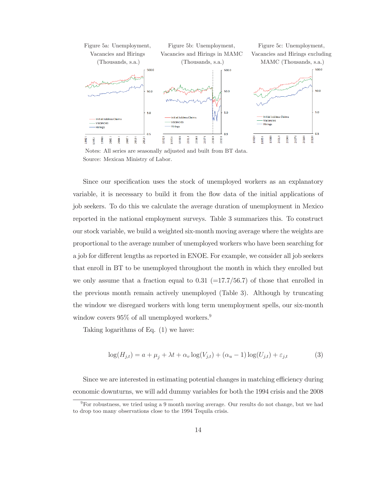

Notes: All series are seasonally adjusted and built from BT data. Source: Mexican Ministry of Labor.

Since our specification uses the stock of unemployed workers as an explanatory variable, it is necessary to build it from the flow data of the initial applications of job seekers. To do this we calculate the average duration of unemployment in Mexico reported in the national employment surveys. Table 3 summarizes this. To construct our stock variable, we build a weighted six-month moving average where the weights are proportional to the average number of unemployed workers who have been searching for a job for different lengths as reported in ENOE. For example, we consider all job seekers that enroll in BT to be unemployed throughout the month in which they enrolled but we only assume that a fraction equal to 0.31  $(=17.7/56.7)$  of those that enrolled in the previous month remain actively unemployed (Table 3). Although by truncating the window we disregard workers with long term unemployment spells, our six-month window covers  $95\%$  of all unemployed workers.<sup>9</sup>

Taking logarithms of Eq.  $(1)$  we have:

$$
\log(H_{j,t}) = a + \mu_j + \lambda t + \alpha_v \log(V_{j,t}) + (\alpha_u - 1) \log(U_{j,t}) + \varepsilon_{j,t}
$$
\n
$$
(3)
$$

Since we are interested in estimating potential changes in matching efficiency during economic downturns, we will add dummy variables for both the 1994 crisis and the 2008

 $9$  For robustness, we tried using a 9 month moving average. Our results do not change, but we had to drop too many observations close to the 1994 Tequila crisis.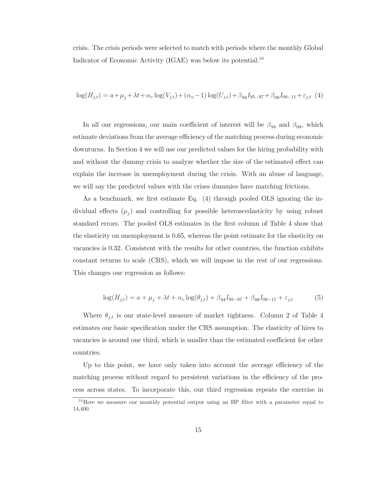crisis. The crisis periods were selected to match with periods where the monthly Global Indicator of Economic Activity (IGAE) was below its potential.<sup>10</sup>

$$
\log(H_{j,t}) = a + \mu_j + \lambda t + \alpha_v \log(V_{j,t}) + (\alpha_u - 1) \log(U_{j,t}) + \beta_{94} I_{95-97} + \beta_{08} I_{08-11} + \varepsilon_{j,t} (4)
$$

In all our regressions, our main coefficient of interest will be  $\beta_{94}$  and  $\beta_{08}$ , which estimate deviations from the average efficiency of the matching process during economic downturns. In Section 4 we will use our predicted values for the hiring probability with and without the dummy crisis to analyze whether the size of the estimated effect can explain the increase in unemployment during the crisis. With an abuse of language, we will say the predicted values with the crises dummies have matching frictions.

As a benchmark, we first estimate Eq.  $(4)$  through pooled OLS ignoring the individual effects  $(\mu_j)$  and controlling for possible heteroscedasticity by using robust standard errors. The pooled OLS estimates in the first column of Table 4 show that the elasticity on unemployment is 0.65, whereas the point estimate for the elasticity on vacancies is  $0.32$ . Consistent with the results for other countries, the function exhibits constant returns to scale (CRS), which we will impose in the rest of our regressions. This changes our regression as follows:

$$
\log(H_{j,t}) = a + \mu_j + \lambda t + \alpha_v \log(\theta_{j,t}) + \beta_{94} I_{95-97} + \beta_{08} I_{08-11} + \varepsilon_{j,t}
$$
(5)

Where  $\theta_{j,t}$  is our state-level measure of market tightness. Column 2 of Table 4 estimates our basic specification under the CRS assumption. The elasticity of hires to vacancies is around one third, which is smaller than the estimated coefficient for other countries.

Up to this point, we have only taken into account the average efficiency of the matching process without regard to persistent variations in the efficiency of the process across states. To incorporate this, our third regression repeats the exercise in

 $10$  Here we measure our monthly potential output using an HP filter with a parameter equal to 14,400.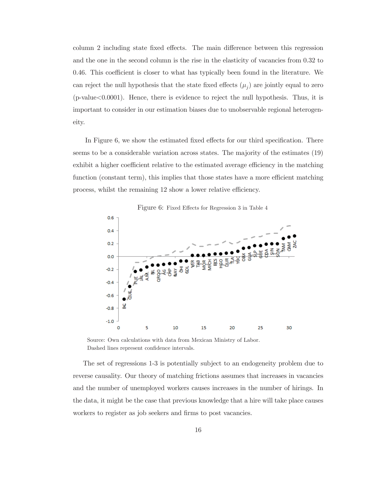column 2 including state fixed effects. The main difference between this regression and the one in the second column is the rise in the elasticity of vacancies from 0.32 to 0.46. This coefficient is closer to what has typically been found in the literature. We can reject the null hypothesis that the state fixed effects  $(\mu_j)$  are jointly equal to zero  $(p$ -value $< 0.0001)$ . Hence, there is evidence to reject the null hypothesis. Thus, it is important to consider in our estimation biases due to unobservable regional heterogeneity.

In Figure 6, we show the estimated fixed effects for our third specification. There seems to be a considerable variation across states. The majority of the estimates (19) exhibit a higher coefficient relative to the estimated average efficiency in the matching function (constant term), this implies that those states have a more efficient matching process, whilst the remaining 12 show a lower relative efficiency.



Figure 6: Fixed Effects for Regression 3 in Table 4

Source: Own calculations with data from Mexican Ministry of Labor. Dashed lines represent confidence intervals.

The set of regressions 1-3 is potentially subject to an endogeneity problem due to reverse causality. Our theory of matching frictions assumes that increases in vacancies and the number of unemployed workers causes increases in the number of hirings. In the data, it might be the case that previous knowledge that a hire will take place causes workers to register as job seekers and firms to post vacancies.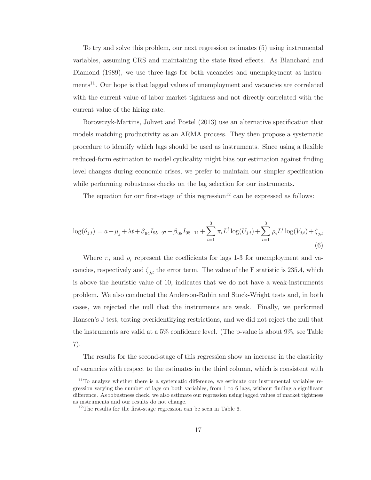To try and solve this problem, our next regression estimates (5) using instrumental variables, assuming CRS and maintaining the state fixed effects. As Blanchard and Diamond (1989), we use three lags for both vacancies and unemployment as instruments<sup>11</sup>. Our hope is that lagged values of unemployment and vacancies are correlated with the current value of labor market tightness and not directly correlated with the current value of the hiring rate.

Borowczyk-Martins, Jolivet and Postel (2013) use an alternative specification that models matching productivity as an ARMA process. They then propose a systematic procedure to identify which lags should be used as instruments. Since using a flexible reduced-form estimation to model cyclicality might bias our estimation against finding level changes during economic crises, we prefer to maintain our simpler specification while performing robustness checks on the lag selection for our instruments.

The equation for our first-stage of this regression<sup>12</sup> can be expressed as follows:

$$
\log(\theta_{j,t}) = a + \mu_j + \lambda t + \beta_{94} I_{95-97} + \beta_{08} I_{08-11} + \sum_{i=1}^3 \pi_i L^i \log(U_{j,t}) + \sum_{i=1}^3 \rho_i L^i \log(V_{j,t}) + \zeta_{j,t}
$$
\n(6)

Where  $\pi_i$  and  $\rho_i$  represent the coefficients for lags 1-3 for unemployment and vacancies, respectively and  $\zeta_{j,t}$  the error term. The value of the F statistic is 235.4, which is above the heuristic value of 10, indicates that we do not have a weak-instruments problem. We also conducted the Anderson-Rubin and Stock-Wright tests and, in both cases, we rejected the null that the instruments are weak. Finally, we performed Hansen's J test, testing overidentifying restrictions, and we did not reject the null that the instruments are valid at a 5% confidence level. (The p-value is about  $9\%$ , see Table  $7).$ 

The results for the second-stage of this regression show an increase in the elasticity of vacancies with respect to the estimates in the third column, which is consistent with

 $^{11}$ To analyze whether there is a systematic difference, we estimate our instrumental variables regression varying the number of lags on both variables, from 1 to 6 lags, without finding a significant difference. As robustness check, we also estimate our regression using lagged values of market tightness as instruments and our results do not change.

 $12$ The results for the first-stage regression can be seen in Table 6.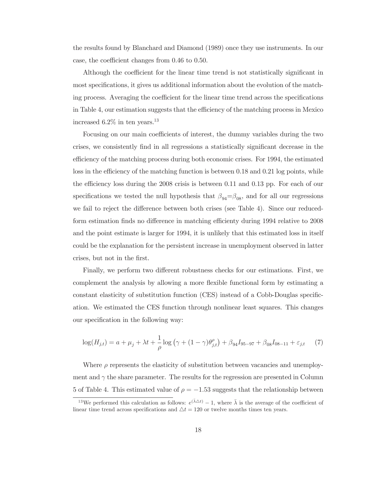the results found by Blanchard and Diamond (1989) once they use instruments. In our case, the coefficient changes from  $0.46$  to  $0.50$ .

Although the coefficient for the linear time trend is not statistically significant in most specifications, it gives us additional information about the evolution of the matching process. Averaging the coefficient for the linear time trend across the specifications in Table 4, our estimation suggests that the efficiency of the matching process in Mexico increased  $6.2\%$  in ten years.<sup>13</sup>

Focusing on our main coefficients of interest, the dummy variables during the two crises, we consistently find in all regressions a statistically significant decrease in the efficiency of the matching process during both economic crises. For 1994, the estimated loss in the efficiency of the matching function is between  $0.18$  and  $0.21$  log points, while the efficiency loss during the 2008 crisis is between  $0.11$  and  $0.13$  pp. For each of our specifications we tested the null hypothesis that  $\beta_{94} = \beta_{08}$ , and for all our regressions we fail to reject the difference between both crises (see Table 4). Since our reducedform estimation finds no difference in matching efficienty during 1994 relative to 2008 and the point estimate is larger for 1994, it is unlikely that this estimated loss in itself for could be the explanation for the persistent increase in unemployment observed in latter crises, but not in the first.

Finally, we perform two different robustness checks for our estimations. First, we complement the analysis by allowing a more flexible functional form by estimating a constant elasticity of substitution function (CES) instead of a Cobb-Douglas specification. We estimated the CES function through nonlinear least squares. This changes our specification in the following way:

$$
\log(H_{j,t}) = a + \mu_j + \lambda t + \frac{1}{\rho} \log(\gamma + (1 - \gamma)\theta_{j,t}^{\rho}) + \beta_{94} I_{95-97} + \beta_{08} I_{08-11} + \varepsilon_{j,t} \tag{7}
$$

Where  $\rho$  represents the elasticity of substitution between vacancies and unemployment and  $\gamma$  the share parameter. The results for the regression are presented in Column 5 of Table 4. This estimated value of  $\rho = -1.53$  suggests that the relationship between

<sup>&</sup>lt;sup>13</sup>We performed this calculation as follows:  $e^{(\bar{\lambda}\Delta t)}-1$ , where  $\bar{\lambda}$  is the average of the coefficient of linear time trend across specifications and  $\Delta t = 120$  or twelve months times ten years.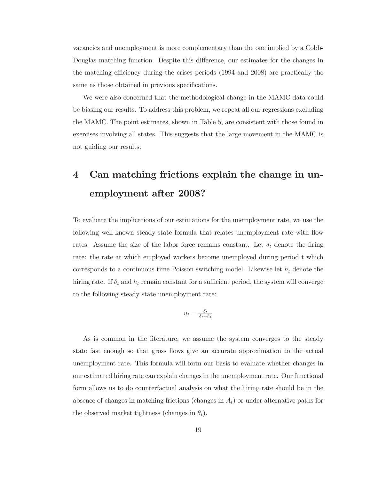vacancies and unemployment is more complementary than the one implied by a Cobb-Douglas matching function. Despite this difference, our estimates for the changes in the matching efficiency during the crises periods (1994 and 2008) are practically the same as those obtained in previous specifications.

We were also concerned that the methodological change in the MAMC data could be biasing our results. To address this problem, we repeat all our regressions excluding the MAMC. The point estimates, shown in Table 5, are consistent with those found in exercises involving all states. This suggests that the large movement in the MAMC is not guiding our results.

# 4 Can matching frictions explain the change in unemployment after 2008?

To evaluate the implications of our estimations for the unemployment rate, we use the following well-known steady-state formula that relates unemployment rate with flow rates. Assume the size of the labor force remains constant. Let  $\delta_t$  denote the firing rate: the rate at which employed workers become unemployed during period t which corresponds to a continuous time Poisson switching model. Likewise let  $h_t$  denote the hiring rate. If  $\delta_t$  and  $h_t$  remain constant for a sufficient period, the system will converge to the following steady state unemployment rate:

$$
u_t = \frac{\delta_t}{\delta_t + h_t}
$$

As is common in the literature, we assume the system converges to the steady state fast enough so that gross flows give an accurate approximation to the actual unemployment rate. This formula will form our basis to evaluate whether changes in our estimated hiring rate can explain changes in the unemployment rate. Our functional form allows us to do counterfactual analysis on what the hiring rate should be in the absence of changes in matching frictions (changes in  $A_t$ ) or under alternative paths for the observed market tightness (changes in  $\theta_t$ ).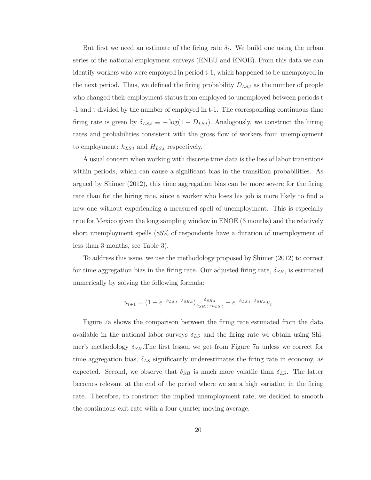But first we need an estimate of the firing rate  $\delta_t$ . We build one using the urban series of the national employment surveys (ENEU and ENOE). From this data we can identify workers who were employed in period t-1, which happened to be unemployed in the next period. Thus, we defined the firing probability  $D_{LS,t}$  as the number of people who changed their employment status from employed to unemployed between periods t -1 and t divided by the number of employed in t-1. The corresponding continuous time firing rate is given by  $\delta_{LS,t} \equiv -\log(1 - D_{LS,t})$ . Analogously, we construct the hiring rates and probabilities consistent with the gross flow of workers from unemployment to employment:  $h_{LS,t}$  and  $H_{LS,t}$  respectively.

A usual concern when working with discrete time data is the loss of labor transitions within periods, which can cause a significant bias in the transition probabilities. As argued by Shimer  $(2012)$ , this time aggregation bias can be more severe for the firing rate than for the hiring rate, since a worker who loses his job is more likely to find a new one without experiencing a measured spell of unemployment. This is especially true for Mexico given the long sampling window in ENOE (3 months) and the relatively short unemployment spells (85% of respondents have a duration of unemployment of less than 3 months, see Table 3).

To address this issue, we use the methodology proposed by Shimer  $(2012)$  to correct for time aggregation bias in the firing rate. Our adjusted firing rate,  $\delta_{SH}$ , is estimated numerically by solving the following formula:

$$
u_{t+1} = (1 - e^{-h_{LS,t} - \delta_{SH,t}}) \frac{\delta_{SH,t}}{\delta_{SH,t} + h_{LS,t}} + e^{-h_{LS,t} - \delta_{SH,t}} u_t
$$

Figure 7a shows the comparison between the firing rate estimated from the data available in the national labor surveys  $\delta_{LS}$  and the firing rate we obtain using Shimer's methodology  $\delta_{SH}$ . The first lesson we get from Figure 7a unless we correct for time aggregation bias,  $\delta_{LS}$  significantly underestimates the firing rate in economy, as expected. Second, we observe that  $\delta_{SH}$  is much more volatile than  $\delta_{LS}$ . The latter becomes relevant at the end of the period where we see a high variation in the firing rate. Therefore, to construct the implied unemployment rate, we decided to smooth the continuous exit rate with a four quarter moving average.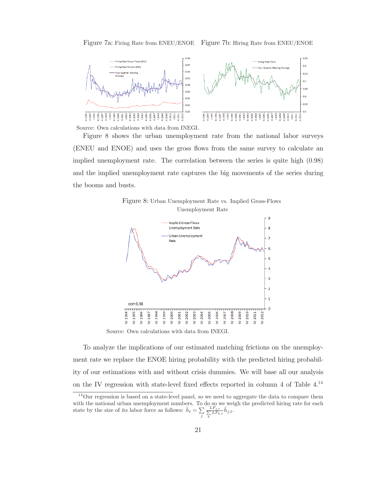



Source: Own calculations with data from INEGI.

Figure 8 shows the urban unemployment rate from the national labor surveys (ENEU and ENOE) and uses the gross flows from the same survey to calculate an implied unemployment rate. The correlation between the series is quite high  $(0.98)$ and the implied unemployment rate captures the big movements of the series during the booms and busts.





Source: Own calculations with data from INEGI.

To analyze the implications of our estimated matching frictions on the unemployment rate we replace the ENOE hiring probability with the predicted hiring probability of our estimations with and without crisis dummies. We will base all our analysis on the IV regression with state-level fixed effects reported in column 4 of Table  $4.^{14}$ 

 $^{14}$ Our regression is based on a state-level panel, so we need to aggregate the data to compare them with the national urban unemployment numbers. To do so we weigh the predicted hiring rate for each state by the size of its labor force as follows:  $\hat{h}_t = \sum_j \frac{L F_{j,t}}{\sum_k L F_k}$  $\frac{LF_{j,t}}{\sum\limits_{k}LF_{k,t}}\hat{h}_{j,t}.$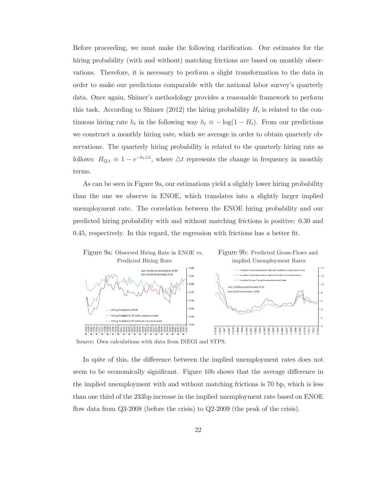Before proceeding, we must make the following clarification. Our estimates for the hiring probability (with and without) matching frictions are based on monthly observations. Therefore, it is necessary to perform a slight transformation to the data in order to make our predictions comparable with the national labor survey's quarterly data. Once again, Shimer's methodology provides a reasonable framework to perform this task. According to Shimer (2012) the hiring probability  $H_t$  is related to the continuous hiring rate  $h_t$  in the following way  $h_t \equiv -\log(1 - H_t)$ . From our predictions we construct a monthly hiring rate, which we average in order to obtain quarterly observations. The quarterly hiring probability is related to the quarterly hiring rate as follows:  $H_{Q,t} \equiv 1 - e^{-h_t \Delta t}$ , where  $\Delta t$  represents the change in frequency in monthly terms.

As can be seen in Figure 9a, our estimations yield a slightly lower hiring probability than the one we observe in ENOE, which translates into a slightly larger implied unemployment rate. The correlation between the ENOE hiring probability and our predicted hiring probability with and without matching frictions is positive: 0.30 and  $0.45$ , respectively. In this regard, the regression with frictions has a better fit.



Source: Own calculations with data from INEGI and STPS.

In spite of this, the difference between the implied unemployment rates does not seem to be economically significant. Figure 10b shows that the average difference in the implied unemployment with and without matching frictions is 70 bp, which is less than one third of the 233bp increase in the implied unemployment rate based on ENOE flow data from  $Q3-2008$  (before the crisis) to  $Q2-2009$  (the peak of the crisis).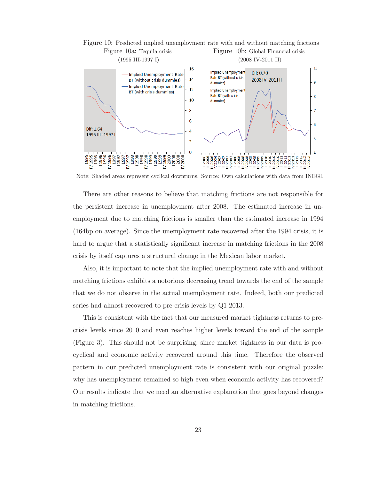

Note: Shaded areas represent cyclical downturns. Source: Own calculations with data from INEGI.

There are other reasons to believe that matching frictions are not responsible for the persistent increase in unemployment after 2008. The estimated increase in unemployment due to matching frictions is smaller than the estimated increase in 1994  $(164bp)$  on average). Since the unemployment rate recovered after the 1994 crisis, it is hard to argue that a statistically significant increase in matching frictions in the 2008 crisis by itself captures a structural change in the Mexican labor market.

Also, it is important to note that the implied unemployment rate with and without matching frictions exhibits a notorious decreasing trend towards the end of the sample that we do not observe in the actual unemployment rate. Indeed, both our predicted series had almost recovered to pre-crisis levels by Q1 2013.

This is consistent with the fact that our measured market tightness returns to precrisis levels since 2010 and even reaches higher levels toward the end of the sample (Figure 3). This should not be surprising, since market tightness in our data is procyclical and economic activity recovered around this time. Therefore the observed pattern in our predicted unemployment rate is consistent with our original puzzle: why has unemployment remained so high even when economic activity has recovered? Our results indicate that we need an alternative explanation that goes beyond changes in matching frictions.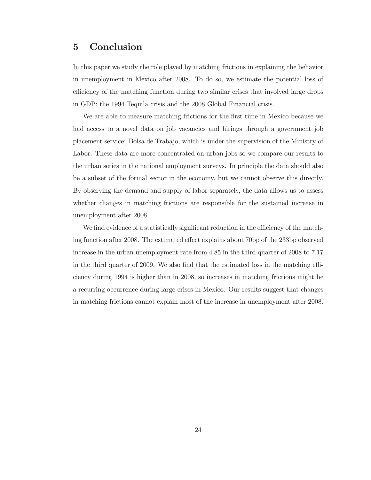#### $\overline{5}$ Conclusion

In this paper we study the role played by matching frictions in explaining the behavior in unemployment in Mexico after 2008. To do so, we estimate the potential loss of efficiency of the matching function during two similar crises that involved large drops in GDP: the 1994 Tequila crisis and the 2008 Global Financial crisis.

We are able to measure matching frictions for the first time in Mexico because we had access to a novel data on job vacancies and hirings through a government job placement service: Bolsa de Trabajo, which is under the supervision of the Ministry of Labor. These data are more concentrated on urban jobs so we compare our results to the urban series in the national employment surveys. In principle the data should also be a subset of the formal sector in the economy, but we cannot observe this directly. By observing the demand and supply of labor separately, the data allows us to assess whether changes in matching frictions are responsible for the sustained increase in unemployment after 2008.

We find evidence of a statistically significant reduction in the efficiency of the matching function after 2008. The estimated effect explains about 70bp of the 233bp observed increase in the urban unemployment rate from  $4.85$  in the third quarter of  $2008$  to  $7.17$ in the third quarter of 2009. We also find that the estimated loss in the matching efficiency during 1994 is higher than in 2008, so increases in matching frictions might be a recurring occurrence during large crises in Mexico. Our results suggest that changes in matching frictions cannot explain most of the increase in unemployment after 2008.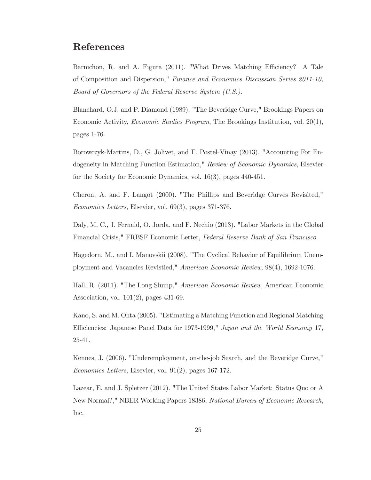## **References**

Barnichon, R. and A. Figura (2011). "What Drives Matching Efficiency? A Tale of Composition and Dispersion," Finance and Economics Discussion Series 2011-10, *Board of Governors of the Federal Reserve System*  $(U.S.).$ 

Blanchard, O.J. and P. Diamond (1989). "The Beveridge Curve," Brookings Papers on Economic Activity, *Economic Studies Program*, The Brookings Institution, vol. 20(1), pages 1-76.

Borowczyk-Martins, D., G. Jolivet, and F. Postel-Vinay (2013). "Accounting For Endogeneity in Matching Function Estimation," *Review of Economic Dynamics*, Elsevier for the Society for Economic Dynamics, vol.  $16(3)$ , pages  $440-451$ .

Cheron, A. and F. Langot (2000). "The Phillips and Beveridge Curves Revisited,"  $Economics Letters, Elsevier, vol. 69(3), pages 371-376.$ 

Daly, M. C., J. Fernald, O. Jorda, and F. Nechio (2013). "Labor Markets in the Global Financial Crisis," FRBSF Economic Letter, Federal Reserve Bank of San Francisco.

Hagedorn, M., and I. Manovskii (2008). "The Cyclical Behavior of Equilibrium Unemployment and Vacancies Revistied," American Economic Review, 98(4), 1692-1076.

Hall, R. (2011). "The Long Slump," *American Economic Review*, American Economic Association, vol.  $101(2)$ , pages  $431-69$ .

Kano, S. and M. Ohta (2005). "Estimating a Matching Function and Regional Matching Efficiencies: Japanese Panel Data for 1973-1999," Japan and the World Economy 17,  $25-41.$ 

Kennes, J. (2006). "Underemployment, on-the-job Search, and the Beveridge Curve,"  $Economics Letters, Elsevier, vol. 91(2), pages 167-172.$ 

Lazear, E. and J. Spletzer (2012). "The United States Labor Market: Status Quo or A New Normal?," NBER Working Papers 18386, National Bureau of Economic Research, Inc.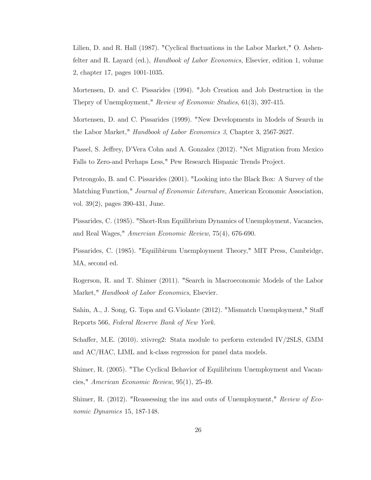Lilien, D. and R. Hall (1987). "Cyclical fluctuations in the Labor Market," O. Ashenfelter and R. Layard (ed.), *Handbook of Labor Economics*, Elsevier, edition 1, volume 2, chapter 17, pages 1001-1035.

Mortensen, D. and C. Pissarides (1994). "Job Creation and Job Destruction in the Thepry of Unemployment," Review of Economic Studies,  $61(3)$ , 397-415.

Mortensen, D. and C. Pissarides (1999). "New Developments in Models of Search in the Labor Market," *Handbook of Labor Economics 3*, Chapter 3, 2567-2627.

Passel, S. Jeffrey, D'Vera Cohn and A. Gonzalez (2012). "Net Migration from Mexico Falls to Zero-and Perhaps Less," Pew Research Hispanic Trends Project.

Petrongolo, B. and C. Pissarides (2001). "Looking into the Black Box: A Survey of the Matching Function," *Journal of Economic Literature*, American Economic Association, vol.  $39(2)$ , pages  $390-431$ , June.

Pissarides, C. (1985). "Short-Run Equilibrium Dynamics of Unemployment, Vacancies, and Real Wages," Amercian Economic Review, 75(4), 676-690.

Pissarides, C. (1985). "Equilibirum Unemployment Theory," MIT Press, Cambridge, MA, second ed.

Rogerson, R. and T. Shimer (2011). "Search in Macroeconomic Models of the Labor Market," Handbook of Labor Economics, Elsevier.

Sahin, A., J. Song, G. Topa and G. Violante (2012). "Mismatch Unemployment," Staff Reports 566, Federal Reserve Bank of New York.

Schaffer, M.E.  $(2010)$ . xtivreg2: Stata module to perform extended IV/2SLS, GMM and AC/HAC, LIML and k-class regression for panel data models.

Shimer, R. (2005). "The Cyclical Behavior of Equilibrium Unemployment and Vacancies," American Economic Review,  $95(1)$ , 25-49.

Shimer, R. (2012). "Reassessing the ins and outs of Unemployment," Review of Economic Dynamics 15, 187-148.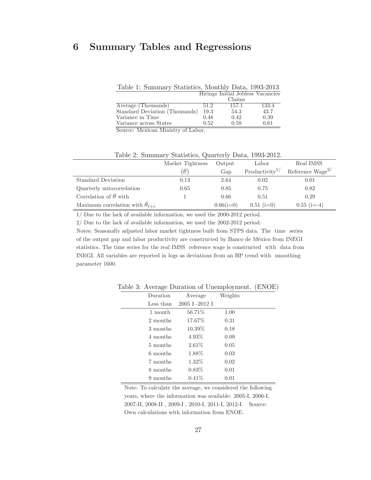## 6 Summary Tables and Regressions

Table 1: Summary Statistics, Monthly Data, 1993-2013

|                                |      | Hirings Initial Jobless Vacancies |       |
|--------------------------------|------|-----------------------------------|-------|
|                                |      | Claims                            |       |
| Average (Thousands)            | 51.2 | 157.1                             | 133.4 |
| Standard Deviation (Thousands) | 19.3 | 54.3                              | 43.7  |
| Variance in Time               | 0.48 | 0.42                              | 0.39  |
| Variance across States         | 0.52 | 0.58                              | 0.61  |
| $\overline{\phantom{a}}$       |      |                                   |       |

Source: Mexican Ministry of Labor.

|                                         | Market Tightness | Output      | Labor                      | Real IMSS             |
|-----------------------------------------|------------------|-------------|----------------------------|-----------------------|
|                                         | $\theta$         | Gap         | Productivity <sup>1/</sup> | Reference $Wage^{2/}$ |
| Standard Deviation                      | 0.13             | 2.64        | 0.02                       | 0.01                  |
| Quarterly autocorrelation               | 0.65             | 0.85        | 0.75                       | 0.82                  |
| Correlation of $\theta$ with            |                  | 0.66        | 0.51                       | 0.29                  |
| Maximum correlation with $\theta_{t+i}$ |                  | $0.66(i=0)$ | $0.51$ (i=0)               | $0.55$ (i=-4)         |

Table 2: Summary Statistics, Quarterly Data, 1993-2012.

 $1/$  Due to the lack of available information, we used the 2000-2012 period.

 $2/$  Due to the lack of available information, we used the 2002-2012 period.

Notes: Seasonally adjusted labor market tightness built from STPS data. The time series of the output gap and labor productivity are constructed by Banco de México from INEGI statistics. The time series for the real IMSS reference wage is constructed with data from INEGI. All variables are reported in logs as deviations from an HP trend with smoothing parameter 1600.

| Duration  | Average       | Weights |  |
|-----------|---------------|---------|--|
| Less than | 2005 I-2012 I |         |  |
| 1 month   | 56.71%        | 1.00    |  |
| 2 months  | 17.67\%       | 0.31    |  |
| 3 months  | 10.39\%       | 0.18    |  |
| 4 months  | 4.93%         | 0.09    |  |
| 5 months  | $2.61\%$      | 0.05    |  |
| 6 months  | 1.88%         | 0.03    |  |
| 7 months  | 1.32%         | 0.02    |  |
| 8 months  | $0.83\%$      | 0.01    |  |
| 9 months  | $0.41\%$      | 0.01    |  |

Table 3: Average Duration of Unemployment. (ENOE)

Note: To calculate the average, we considered the following years, where the information was available: 2005-I, 2006-I, 2007-II, 2008-II, 2009-I, 2010-I, 2011-I, 2012-I. Source: Own calculations with information from ENOE.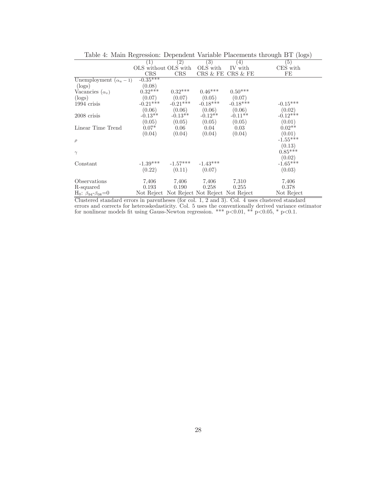|                                    |                      |                                             |            |                   | Taple 4. Maill Regression. Dependent variable I facements tillbugti DT (10gs) |
|------------------------------------|----------------------|---------------------------------------------|------------|-------------------|-------------------------------------------------------------------------------|
|                                    | (1)                  | (2)                                         | (3)        | (4)               | (5)                                                                           |
|                                    | OLS without OLS with |                                             | OLS with   | IV with           | CES with                                                                      |
|                                    | CRS                  | CRS                                         |            | CRS & FE CRS & FE | FE                                                                            |
| Unemployment $(\alpha_u - 1)$      | $-0.35***$           |                                             |            |                   |                                                                               |
| $(\log s)$                         | (0.08)               |                                             |            |                   |                                                                               |
| Vacancies $(\alpha_v)$             | $0.32***$            | $0.32***$                                   | $0.46***$  | $0.50***$         |                                                                               |
| $(\log s)$                         | (0.07)               | (0.07)                                      | (0.05)     | (0.07)            |                                                                               |
| 1994 crisis                        | $-0.21***$           | $-0.21***$                                  | $-0.18***$ | $-0.18***$        | $-0.15***$                                                                    |
|                                    | (0.06)               | (0.06)                                      | (0.06)     | (0.06)            | (0.02)                                                                        |
| 2008 crisis                        | $-0.13**$            | $-0.13**$                                   | $-0.12**$  | $-0.11**$         | $-0.12***$                                                                    |
|                                    | (0.05)               | (0.05)                                      | (0.05)     | (0.05)            | (0.01)                                                                        |
| Linear Time Trend                  | $0.07*$              | 0.06                                        | 0.04       | 0.03              | $0.02**$                                                                      |
|                                    | (0.04)               | (0.04)                                      | (0.04)     | (0.04)            | (0.01)                                                                        |
| $\rho$                             |                      |                                             |            |                   | $-1.55***$                                                                    |
|                                    |                      |                                             |            |                   | (0.13)                                                                        |
| $\gamma$                           |                      |                                             |            |                   | $0.85***$                                                                     |
|                                    |                      |                                             |            |                   | (0.02)                                                                        |
| Constant                           | $-1.39***$           | $-1.57***$                                  | $-1.43***$ |                   | $-1.65***$                                                                    |
|                                    | (0.22)               | (0.11)                                      | (0.07)     |                   | (0.03)                                                                        |
|                                    |                      |                                             |            |                   |                                                                               |
| Observations                       | 7.406                | 7,406                                       | 7.406      | 7,310             | 7.406                                                                         |
| R-squared                          | 0.193                | 0.190                                       | 0.258      | 0.255             | 0.378                                                                         |
| $H_0: \beta_{94} - \beta_{08} = 0$ |                      | Not Reject Not Reject Not Reject Not Reject |            |                   | Not Reject                                                                    |

Table 4: Main Regression: Dependent Variable Placements through BT (logs)

Clustered standard errors in parentheses (for col. 1, 2 and 3). Col. 4 uses clustered standard errors and corrects for heteroskedasticity. Col. 5 uses the conventionally derived variance estimator for nonlinear models fit using Gauss-Newton regression. \*\*\*  $p<0.01$ , \*\*  $p<0.05$ , \*  $p<0.1$ .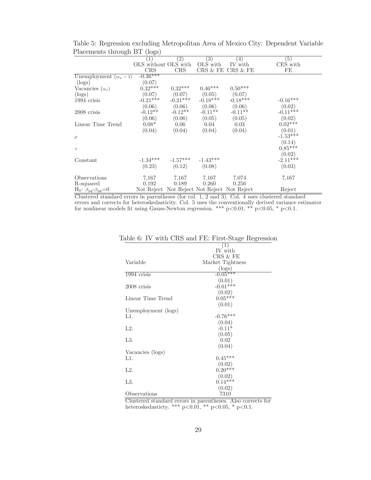| $\frac{1}{2}$                         | 10.50                |            |                                             |                   |            |
|---------------------------------------|----------------------|------------|---------------------------------------------|-------------------|------------|
|                                       |                      | $^{(2)}$   | $\left( 3\right)$                           | $\overline{4}$    | (5)        |
|                                       | OLS without OLS with |            | OLS with                                    | IV with           | CES with   |
|                                       | CRS                  | CRS        |                                             | CRS & FE CRS & FE | FE         |
| Unemployment $(\alpha_u - 1)$         | $-0.36***$           |            |                                             |                   |            |
| $(\log s)$                            | (0.07)               |            |                                             |                   |            |
| Vacancies $(\alpha_v)$                | $0.32***$            | $0.32***$  | $0.46***$                                   | $0.50***$         |            |
| (logs)                                | (0.07)               | (0.07)     | (0.05)                                      | (0.07)            |            |
| 1994 crisis                           | $-0.21***$           | $-0.21***$ | $-0.18***$                                  | $-0.18***$        | $-0.16***$ |
|                                       | (0.06)               | (0.06)     | (0.06)                                      | (0.06)            | (0.02)     |
| 2008 crisis                           | $-0.12**$            | $-0.12**$  | $-0.11**$                                   | $-0.11**$         | $-0.11***$ |
|                                       | (0.06)               | (0.06)     | (0.05)                                      | (0.05)            | (0.02)     |
| Linear Time Trend                     | $0.08*$              | 0.06       | 0.04                                        | 0.03              | $0.02***$  |
|                                       | (0.04)               | (0.04)     | (0.04)                                      | (0.04)            | (0.01)     |
| $\rho$                                |                      |            |                                             |                   | $-1.53***$ |
|                                       |                      |            |                                             |                   | (0.14)     |
| $\gamma$                              |                      |            |                                             |                   | $0.85***$  |
|                                       |                      |            |                                             |                   | (0.02)     |
| Constant                              | $-1.34***$           | $-1.57***$ | $-1.43***$                                  |                   | $-2.11***$ |
|                                       | (0.23)               | (0.12)     | (0.08)                                      |                   | (0.03)     |
|                                       |                      |            |                                             |                   |            |
| Observations                          | 7,167                | 7,167      | 7,167                                       | 7,074             | 7,167      |
| R-squared                             | 0.192                | 0.189      | 0.260                                       | 0.256             |            |
| $H_0$ : $\beta_{94} - \beta_{08} = 0$ |                      |            | Not Reject Not Reject Not Reject Not Reject |                   | Reject     |

Table 5: Regression excluding Metropolitan Area of Mexico City: Dependent Variable Placements through BT (logs)  $\overline{a}$ 

 $=$ Clustered standard errors in parentheses (for col. 1, 2 and 3). Col. 4 uses clustered standard errors and corrects for heteroskedasticity. Col. 5 uses the conventionally derived variance estimator for nonlinear models fit using Gauss-Newton regression. \*\*\*  $p<0.01$ , \*\*  $p<0.05$ , \*  $p<0.1$ .

|                     | $\overline{1}$   |  |
|---------------------|------------------|--|
|                     | IV with          |  |
|                     | CRS & FE         |  |
| Variable            | Market Tightness |  |
|                     | $(\log s)$       |  |
| 1994 crisis         | $-0.05***$       |  |
|                     | (0.01)           |  |
| $2008$ crisis       | $-0.01***$       |  |
|                     | (0.02)           |  |
| Linear Time Trend   | $0.05***$        |  |
|                     | (0.01)           |  |
| Unemployment (logs) |                  |  |
| L1.                 | $-0.76***$       |  |
|                     | (0.04)           |  |
| $L2$ .              | $-0.11*$         |  |
|                     | (0.05)           |  |
| L3.                 | 0.02             |  |
|                     | (0.04)           |  |
| Vacancies (logs)    |                  |  |
| L1.                 | $0.45***$        |  |
|                     | (0.02)           |  |
| $L2$ .              | $0.20***$        |  |
|                     | (0.02)           |  |
| L3.                 | $0.14***$        |  |
|                     | (0.02)           |  |
| Observations        | 7310             |  |

| Table 6: IV with CRS and FE: First-Stage Regression |  |  |  |  |  |  |  |  |  |
|-----------------------------------------------------|--|--|--|--|--|--|--|--|--|
|-----------------------------------------------------|--|--|--|--|--|--|--|--|--|

Clustered standard errors in parentheses. Also corrects for heteroskedasticty. \*\*\*  $p<0.01$ , \*\*  $p<0.05$ , \*  $p<0.1$ .